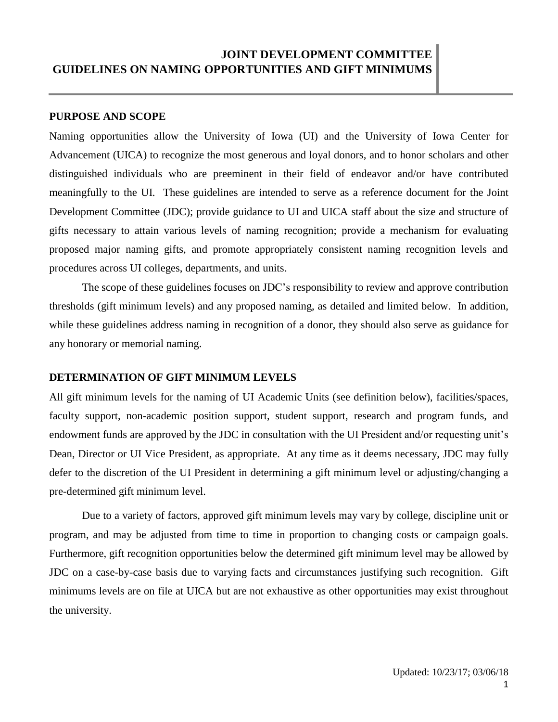# **JOINT DEVELOPMENT COMMITTEE GUIDELINES ON NAMING OPPORTUNITIES AND GIFT MINIMUMS**

#### **PURPOSE AND SCOPE**

Naming opportunities allow the University of Iowa (UI) and the University of Iowa Center for Advancement (UICA) to recognize the most generous and loyal donors, and to honor scholars and other distinguished individuals who are preeminent in their field of endeavor and/or have contributed meaningfully to the UI. These guidelines are intended to serve as a reference document for the Joint Development Committee (JDC); provide guidance to UI and UICA staff about the size and structure of gifts necessary to attain various levels of naming recognition; provide a mechanism for evaluating proposed major naming gifts, and promote appropriately consistent naming recognition levels and procedures across UI colleges, departments, and units.

The scope of these guidelines focuses on JDC's responsibility to review and approve contribution thresholds (gift minimum levels) and any proposed naming, as detailed and limited below. In addition, while these guidelines address naming in recognition of a donor, they should also serve as guidance for any honorary or memorial naming.

#### **DETERMINATION OF GIFT MINIMUM LEVELS**

All gift minimum levels for the naming of UI Academic Units (see definition below), facilities/spaces, faculty support, non-academic position support, student support, research and program funds, and endowment funds are approved by the JDC in consultation with the UI President and/or requesting unit's Dean, Director or UI Vice President, as appropriate. At any time as it deems necessary, JDC may fully defer to the discretion of the UI President in determining a gift minimum level or adjusting/changing a pre-determined gift minimum level.

Due to a variety of factors, approved gift minimum levels may vary by college, discipline unit or program, and may be adjusted from time to time in proportion to changing costs or campaign goals. Furthermore, gift recognition opportunities below the determined gift minimum level may be allowed by JDC on a case-by-case basis due to varying facts and circumstances justifying such recognition. Gift minimums levels are on file at UICA but are not exhaustive as other opportunities may exist throughout the university.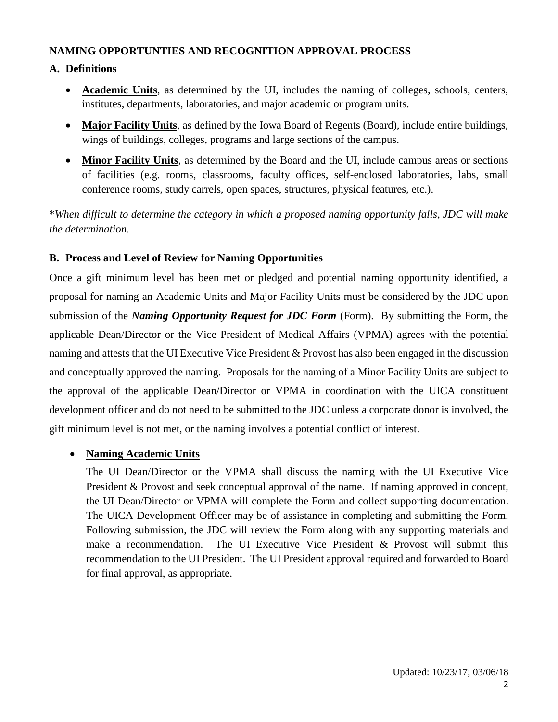### **NAMING OPPORTUNTIES AND RECOGNITION APPROVAL PROCESS**

## **A. Definitions**

- **Academic Units**, as determined by the UI, includes the naming of colleges, schools, centers, institutes, departments, laboratories, and major academic or program units.
- **Major Facility Units**, as defined by the Iowa Board of Regents (Board), include entire buildings, wings of buildings, colleges, programs and large sections of the campus.
- **Minor Facility Units**, as determined by the Board and the UI, include campus areas or sections of facilities (e.g. rooms, classrooms, faculty offices, self-enclosed laboratories, labs, small conference rooms, study carrels, open spaces, structures, physical features, etc.).

\**When difficult to determine the category in which a proposed naming opportunity falls, JDC will make the determination.*

## **B. Process and Level of Review for Naming Opportunities**

Once a gift minimum level has been met or pledged and potential naming opportunity identified, a proposal for naming an Academic Units and Major Facility Units must be considered by the JDC upon submission of the *Naming Opportunity Request for JDC Form* (Form). By submitting the Form, the applicable Dean/Director or the Vice President of Medical Affairs (VPMA) agrees with the potential naming and attests that the UI Executive Vice President & Provost has also been engaged in the discussion and conceptually approved the naming. Proposals for the naming of a Minor Facility Units are subject to the approval of the applicable Dean/Director or VPMA in coordination with the UICA constituent development officer and do not need to be submitted to the JDC unless a corporate donor is involved, the gift minimum level is not met, or the naming involves a potential conflict of interest.

# • **Naming Academic Units**

The UI Dean/Director or the VPMA shall discuss the naming with the UI Executive Vice President & Provost and seek conceptual approval of the name. If naming approved in concept, the UI Dean/Director or VPMA will complete the Form and collect supporting documentation. The UICA Development Officer may be of assistance in completing and submitting the Form. Following submission, the JDC will review the Form along with any supporting materials and make a recommendation. The UI Executive Vice President & Provost will submit this recommendation to the UI President. The UI President approval required and forwarded to Board for final approval, as appropriate.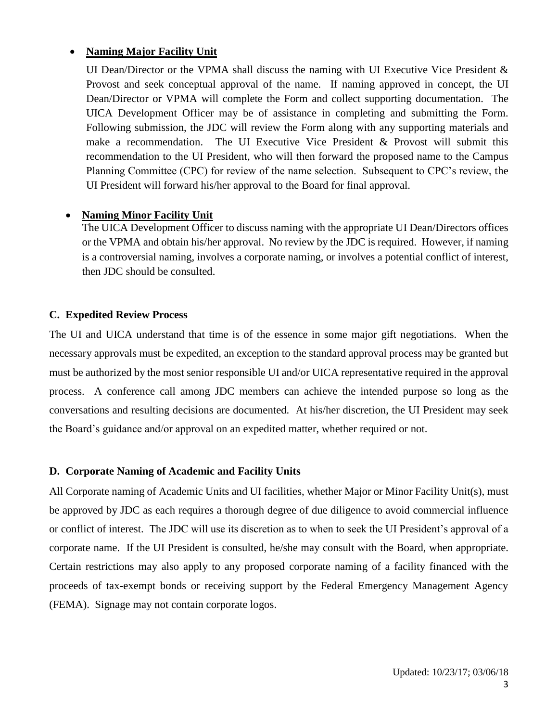### • **Naming Major Facility Unit**

UI Dean/Director or the VPMA shall discuss the naming with UI Executive Vice President & Provost and seek conceptual approval of the name. If naming approved in concept, the UI Dean/Director or VPMA will complete the Form and collect supporting documentation. The UICA Development Officer may be of assistance in completing and submitting the Form. Following submission, the JDC will review the Form along with any supporting materials and make a recommendation. The UI Executive Vice President & Provost will submit this recommendation to the UI President, who will then forward the proposed name to the Campus Planning Committee (CPC) for review of the name selection. Subsequent to CPC's review, the UI President will forward his/her approval to the Board for final approval.

#### • **Naming Minor Facility Unit**

The UICA Development Officer to discuss naming with the appropriate UI Dean/Directors offices or the VPMA and obtain his/her approval. No review by the JDC is required. However, if naming is a controversial naming, involves a corporate naming, or involves a potential conflict of interest, then JDC should be consulted.

#### **C. Expedited Review Process**

The UI and UICA understand that time is of the essence in some major gift negotiations. When the necessary approvals must be expedited, an exception to the standard approval process may be granted but must be authorized by the most senior responsible UI and/or UICA representative required in the approval process. A conference call among JDC members can achieve the intended purpose so long as the conversations and resulting decisions are documented. At his/her discretion, the UI President may seek the Board's guidance and/or approval on an expedited matter, whether required or not.

#### **D. Corporate Naming of Academic and Facility Units**

All Corporate naming of Academic Units and UI facilities, whether Major or Minor Facility Unit(s), must be approved by JDC as each requires a thorough degree of due diligence to avoid commercial influence or conflict of interest. The JDC will use its discretion as to when to seek the UI President's approval of a corporate name. If the UI President is consulted, he/she may consult with the Board, when appropriate. Certain restrictions may also apply to any proposed corporate naming of a facility financed with the proceeds of tax-exempt bonds or receiving support by the Federal Emergency Management Agency (FEMA). Signage may not contain corporate logos.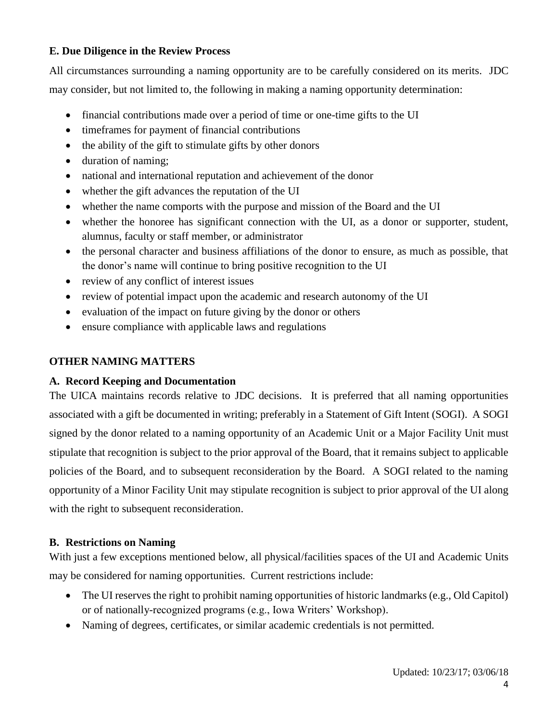### **E. Due Diligence in the Review Process**

All circumstances surrounding a naming opportunity are to be carefully considered on its merits. JDC may consider, but not limited to, the following in making a naming opportunity determination:

- financial contributions made over a period of time or one-time gifts to the UI
- timeframes for payment of financial contributions
- the ability of the gift to stimulate gifts by other donors
- duration of naming;
- national and international reputation and achievement of the donor
- whether the gift advances the reputation of the UI
- whether the name comports with the purpose and mission of the Board and the UI
- whether the honoree has significant connection with the UI, as a donor or supporter, student, alumnus, faculty or staff member, or administrator
- the personal character and business affiliations of the donor to ensure, as much as possible, that the donor's name will continue to bring positive recognition to the UI
- review of any conflict of interest issues
- review of potential impact upon the academic and research autonomy of the UI
- evaluation of the impact on future giving by the donor or others
- ensure compliance with applicable laws and regulations

### **OTHER NAMING MATTERS**

### **A. Record Keeping and Documentation**

The UICA maintains records relative to JDC decisions. It is preferred that all naming opportunities associated with a gift be documented in writing; preferably in a Statement of Gift Intent (SOGI). A SOGI signed by the donor related to a naming opportunity of an Academic Unit or a Major Facility Unit must stipulate that recognition is subject to the prior approval of the Board, that it remains subject to applicable policies of the Board, and to subsequent reconsideration by the Board. A SOGI related to the naming opportunity of a Minor Facility Unit may stipulate recognition is subject to prior approval of the UI along with the right to subsequent reconsideration.

### **B. Restrictions on Naming**

With just a few exceptions mentioned below, all physical/facilities spaces of the UI and Academic Units may be considered for naming opportunities. Current restrictions include:

- The UI reserves the right to prohibit naming opportunities of historic landmarks (e.g., Old Capitol) or of nationally-recognized programs (e.g., Iowa Writers' Workshop).
- Naming of degrees, certificates, or similar academic credentials is not permitted.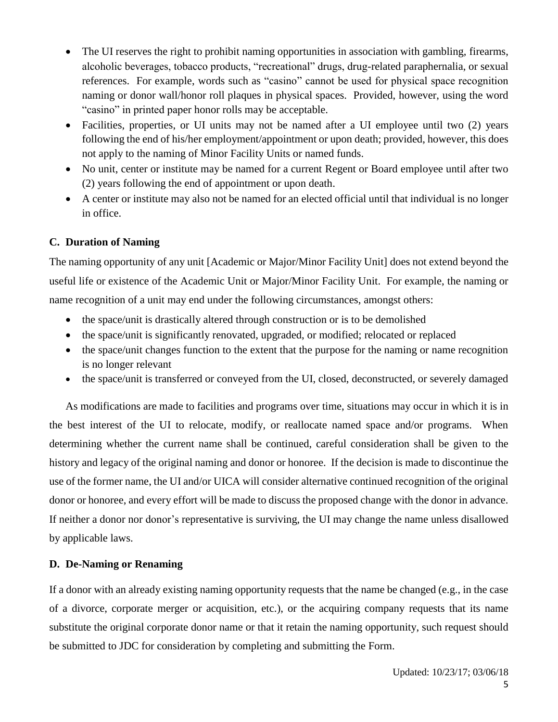- The UI reserves the right to prohibit naming opportunities in association with gambling, firearms, alcoholic beverages, tobacco products, "recreational" drugs, drug-related paraphernalia, or sexual references. For example, words such as "casino" cannot be used for physical space recognition naming or donor wall/honor roll plaques in physical spaces. Provided, however, using the word "casino" in printed paper honor rolls may be acceptable.
- Facilities, properties, or UI units may not be named after a UI employee until two (2) years following the end of his/her employment/appointment or upon death; provided, however, this does not apply to the naming of Minor Facility Units or named funds.
- No unit, center or institute may be named for a current Regent or Board employee until after two (2) years following the end of appointment or upon death.
- A center or institute may also not be named for an elected official until that individual is no longer in office.

### **C. Duration of Naming**

The naming opportunity of any unit [Academic or Major/Minor Facility Unit] does not extend beyond the useful life or existence of the Academic Unit or Major/Minor Facility Unit. For example, the naming or name recognition of a unit may end under the following circumstances, amongst others:

- the space/unit is drastically altered through construction or is to be demolished
- the space/unit is significantly renovated, upgraded, or modified; relocated or replaced
- the space/unit changes function to the extent that the purpose for the naming or name recognition is no longer relevant
- the space/unit is transferred or conveyed from the UI, closed, deconstructed, or severely damaged

As modifications are made to facilities and programs over time, situations may occur in which it is in the best interest of the UI to relocate, modify, or reallocate named space and/or programs. When determining whether the current name shall be continued, careful consideration shall be given to the history and legacy of the original naming and donor or honoree. If the decision is made to discontinue the use of the former name, the UI and/or UICA will consider alternative continued recognition of the original donor or honoree, and every effort will be made to discuss the proposed change with the donor in advance. If neither a donor nor donor's representative is surviving, the UI may change the name unless disallowed by applicable laws.

### **D. De-Naming or Renaming**

If a donor with an already existing naming opportunity requests that the name be changed (e.g., in the case of a divorce, corporate merger or acquisition, etc.), or the acquiring company requests that its name substitute the original corporate donor name or that it retain the naming opportunity, such request should be submitted to JDC for consideration by completing and submitting the Form.